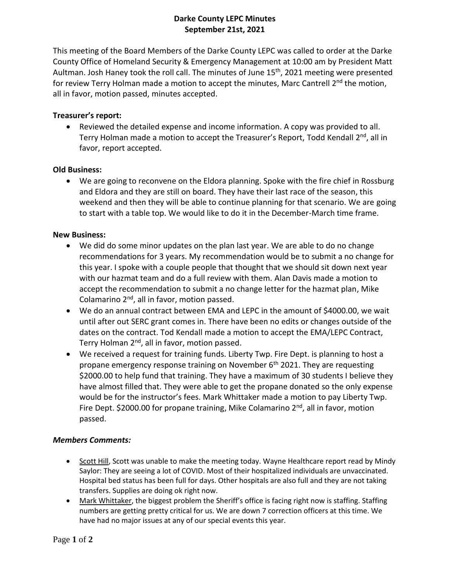# **Darke County LEPC Minutes September 21st, 2021**

This meeting of the Board Members of the Darke County LEPC was called to order at the Darke County Office of Homeland Security & Emergency Management at 10:00 am by President Matt Aultman. Josh Haney took the roll call. The minutes of June 15<sup>th</sup>, 2021 meeting were presented for review Terry Holman made a motion to accept the minutes, Marc Cantrell 2<sup>nd</sup> the motion, all in favor, motion passed, minutes accepted.

## **Treasurer's report:**

• Reviewed the detailed expense and income information. A copy was provided to all. Terry Holman made a motion to accept the Treasurer's Report, Todd Kendall 2<sup>nd</sup>, all in favor, report accepted.

## **Old Business:**

• We are going to reconvene on the Eldora planning. Spoke with the fire chief in Rossburg and Eldora and they are still on board. They have their last race of the season, this weekend and then they will be able to continue planning for that scenario. We are going to start with a table top. We would like to do it in the December-March time frame.

### **New Business:**

- We did do some minor updates on the plan last year. We are able to do no change recommendations for 3 years. My recommendation would be to submit a no change for this year. I spoke with a couple people that thought that we should sit down next year with our hazmat team and do a full review with them. Alan Davis made a motion to accept the recommendation to submit a no change letter for the hazmat plan, Mike Colamarino 2<sup>nd</sup>, all in favor, motion passed.
- We do an annual contract between EMA and LEPC in the amount of \$4000.00, we wait until after out SERC grant comes in. There have been no edits or changes outside of the dates on the contract. Tod Kendall made a motion to accept the EMA/LEPC Contract, Terry Holman 2<sup>nd</sup>, all in favor, motion passed.
- We received a request for training funds. Liberty Twp. Fire Dept. is planning to host a propane emergency response training on November  $6<sup>th</sup>$  2021. They are requesting \$2000.00 to help fund that training. They have a maximum of 30 students I believe they have almost filled that. They were able to get the propane donated so the only expense would be for the instructor's fees. Mark Whittaker made a motion to pay Liberty Twp. Fire Dept. \$2000.00 for propane training, Mike Colamarino 2<sup>nd</sup>, all in favor, motion passed.

### *Members Comments:*

- Scott Hill, Scott was unable to make the meeting today. Wayne Healthcare report read by Mindy Saylor: They are seeing a lot of COVID. Most of their hospitalized individuals are unvaccinated. Hospital bed status has been full for days. Other hospitals are also full and they are not taking transfers. Supplies are doing ok right now.
- Mark Whittaker, the biggest problem the Sheriff's office is facing right now is staffing. Staffing numbers are getting pretty critical for us. We are down 7 correction officers at this time. We have had no major issues at any of our special events this year.